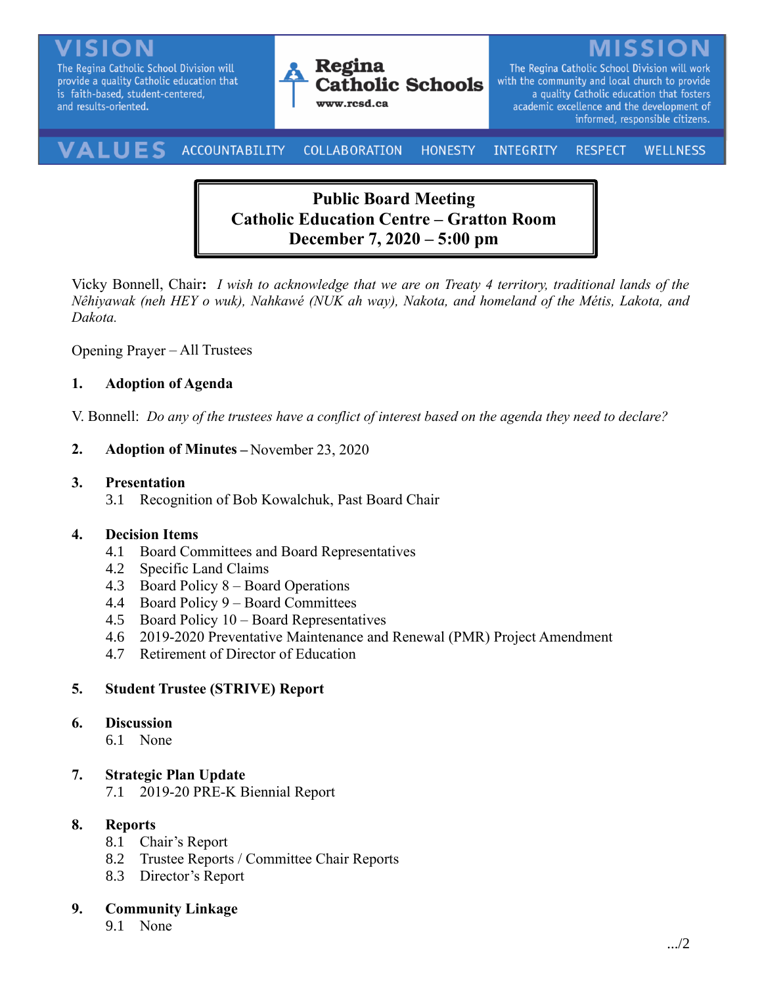The Regina Catholic School Division will provide a quality Catholic education that is faith-based, student-centered, and results-oriented.



The Regina Catholic School Division will work with the community and local church to provide a quality Catholic education that fosters academic excellence and the development of informed, responsible citizens.

#### VALUES ACCOUNTABILITY **COLLABORATION** INTEGRITY **HONESTY RESPECT WELLNESS**

# **Public Board Meeting Catholic Education Centre – Gratton Room December 7, 2020 – 5:00 pm**

Vicky Bonnell, Chair**:** *I wish to acknowledge that we are on Treaty 4 territory, traditional lands of the Nêhiyawak (neh HEY o wuk), Nahkawé (NUK ah way), Nakota, and homeland of the Métis, Lakota, and Dakota.*

Opening Prayer – All Trustees

## **1. Adoption of Agenda**

V. Bonnell: *Do any of the trustees have a conflict of interest based on the agenda they need to declare?*

#### **2. Adoption of Minutes –** November 23, 2020

#### **3. Presentation**

3.1 Recognition of Bob Kowalchuk, Past Board Chair

#### **4. Decision Items**

- 4.1 Board Committees and Board Representatives
- 4.2 Specific Land Claims
- 4.3 Board Policy 8 Board Operations
- 4.4 Board Policy 9 Board Committees
- 4.5 Board Policy 10 Board Representatives
- 4.6 2019-2020 Preventative Maintenance and Renewal (PMR) Project Amendment
- 4.7 Retirement of Director of Education

## **5. Student Trustee (STRIVE) Report**

#### **6. Discussion**

6.1 None

## **7. Strategic Plan Update**

7.1 2019-20 PRE-K Biennial Report

## **8. Reports**

- 8.1 Chair's Report
- 8.2 Trustee Reports / Committee Chair Reports
- 8.3 Director's Report

## **9. Community Linkage**

9.1 None